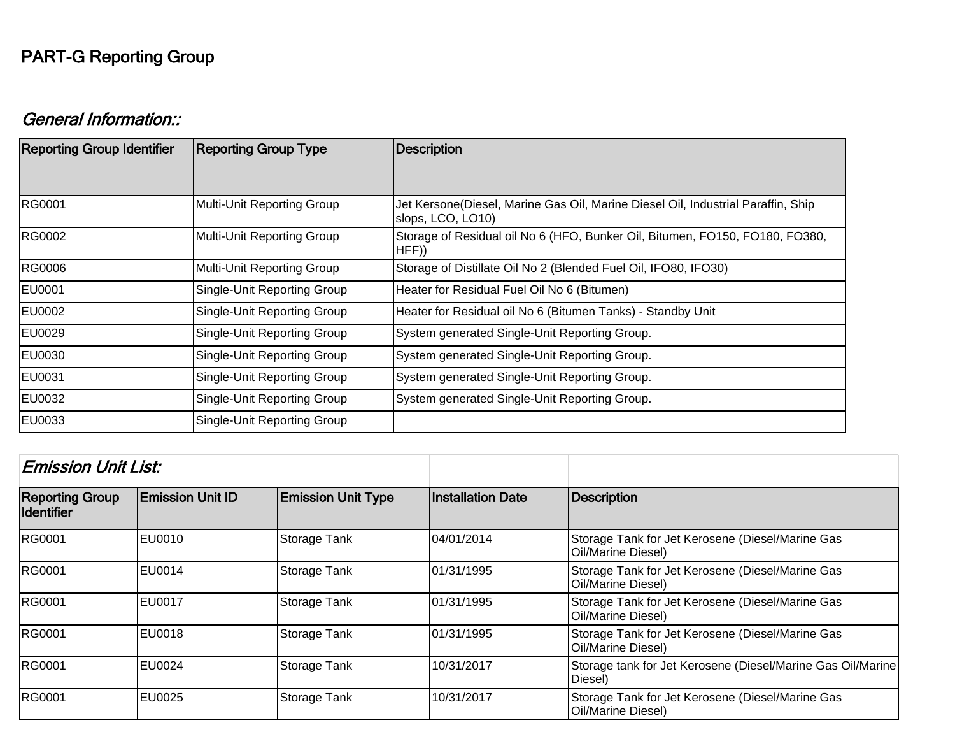## PART-G Reporting Group

## General Information::

| <b>Reporting Group Identifier</b> | <b>Reporting Group Type</b> | <b>Description</b>                                                                                    |  |
|-----------------------------------|-----------------------------|-------------------------------------------------------------------------------------------------------|--|
|                                   |                             |                                                                                                       |  |
| RG0001                            | Multi-Unit Reporting Group  | Jet Kersone(Diesel, Marine Gas Oil, Marine Diesel Oil, Industrial Paraffin, Ship<br>slops, LCO, LO10) |  |
| RG0002                            | Multi-Unit Reporting Group  | Storage of Residual oil No 6 (HFO, Bunker Oil, Bitumen, FO150, FO180, FO380,<br>HFF()                 |  |
| RG0006                            | Multi-Unit Reporting Group  | Storage of Distillate Oil No 2 (Blended Fuel Oil, IFO80, IFO30)                                       |  |
| <b>EU0001</b>                     | Single-Unit Reporting Group | Heater for Residual Fuel Oil No 6 (Bitumen)                                                           |  |
| EU0002                            | Single-Unit Reporting Group | Heater for Residual oil No 6 (Bitumen Tanks) - Standby Unit                                           |  |
| EU0029                            | Single-Unit Reporting Group | System generated Single-Unit Reporting Group.                                                         |  |
| EU0030                            | Single-Unit Reporting Group | System generated Single-Unit Reporting Group.                                                         |  |
| EU0031                            | Single-Unit Reporting Group | System generated Single-Unit Reporting Group.                                                         |  |
| EU0032                            | Single-Unit Reporting Group | System generated Single-Unit Reporting Group.                                                         |  |
| EU0033                            | Single-Unit Reporting Group |                                                                                                       |  |

| <b>Emission Unit List:</b>                  |                         |                           |                          |                                                                        |
|---------------------------------------------|-------------------------|---------------------------|--------------------------|------------------------------------------------------------------------|
| <b>Reporting Group</b><br><b>Identifier</b> | <b>Emission Unit ID</b> | <b>Emission Unit Type</b> | <b>Installation Date</b> | Description                                                            |
| <b>RG0001</b>                               | EU0010                  | Storage Tank              | 04/01/2014               | Storage Tank for Jet Kerosene (Diesel/Marine Gas<br>Oil/Marine Diesel) |
| <b>RG0001</b>                               | EU0014                  | Storage Tank              | 01/31/1995               | Storage Tank for Jet Kerosene (Diesel/Marine Gas<br>Oil/Marine Diesel) |
| <b>RG0001</b>                               | <b>EU0017</b>           | Storage Tank              | 01/31/1995               | Storage Tank for Jet Kerosene (Diesel/Marine Gas<br>Oil/Marine Diesel) |
| <b>RG0001</b>                               | EU0018                  | Storage Tank              | 101/31/1995              | Storage Tank for Jet Kerosene (Diesel/Marine Gas<br>Oil/Marine Diesel) |
| <b>RG0001</b>                               | IEU0024                 | Storage Tank              | 10/31/2017               | Storage tank for Jet Kerosene (Diesel/Marine Gas Oil/Marine<br>Diesel) |
| <b>RG0001</b>                               | EU0025                  | Storage Tank              | 10/31/2017               | Storage Tank for Jet Kerosene (Diesel/Marine Gas<br>Oil/Marine Diesel) |